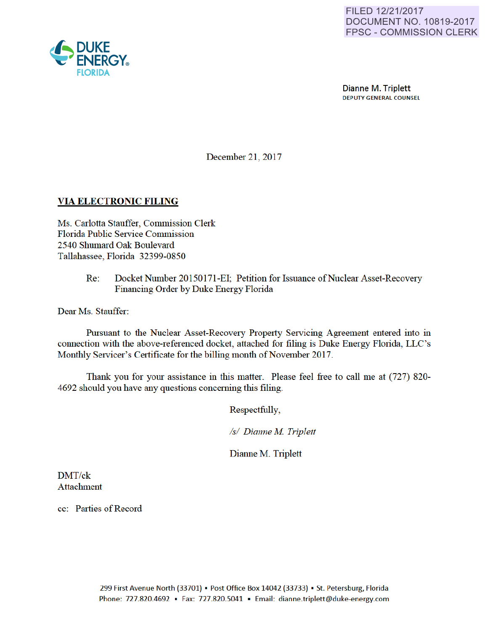

Dianne M. Triplett DEPUTY GENERAL COUNSEL

December 21, 2017

### VIA ELECTRONIC FILING

Ms. Carlotta Stauffer, Commission Clerk Florida Public Service Commission 2540 Shumard Oak Boulevard Tallahassee, Florida 32399-0850

> Re: Docket Number 20150171-EI; Petition for Issuance of Nuclear Asset-Recovery Financing Order by Duke Energy Florida

Dear Ms. Stauffer:

Pursuant to the Nuclear Asset-Recovery Property Servicing Agreement entered into in connection with the above-referenced docket, attached for filing is Duke Energy Florida, LLC's Monthly Servicer's Certificate for the billing month of November 2017.

Thank you for your assistance in this matter. Please feel free to call me at (727) 820- 4692 should you have any questions conceming this filing.

Respectfully,

*Is/ Dianne M Triplett* 

Dianne M. Triplett

DMT/ck Attachment

cc: Parties of Record

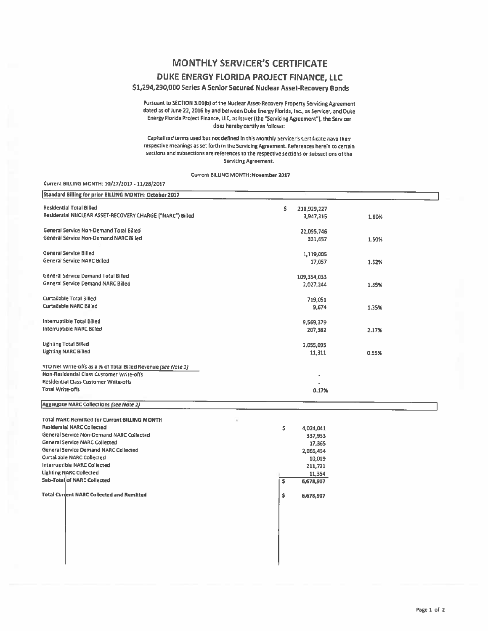## **MONTHLY SERVICER'S CERTIFICATE**

### DUKE ENERGY FLORIDA PROJECT FINANCE, LLC

#### \$1,294,290,000 Series A Senior Secured Nuclear Asset-Recovery Bonds

Pursuant to SECTION 3.01(b) of the Nuclear Asset-Recovery Property Servicing Agreement dated as of June 22, 2016 by and between Duke Energy Florida, Inc., as Servicer, and Duke Energy Florida Project Finance, LLC, as Issuer (the "Servicing Agreement"), the Servicer does hereby certify as follows:

Capitalized terms used but not defined in this Monthly Servicer's Certificate have their respective meanings as set forth in the Servicing Agreement. References herein to certain sections and subsections are references to the respective sections or subsections of the Servicing Agreement.

Current BILLING MONTH: November 2017

#### Current BILLING MONTH: 10/27/2017 - 11/28/2017

| Standard Billing for prior BILLING MONTH: October 2017         |                  |       |
|----------------------------------------------------------------|------------------|-------|
| <b>Residential Total Billed</b>                                | Ś<br>218,929,227 |       |
| Residential NUCLEAR ASSET-RECOVERY CHARGE ("NARC") Billed      | 3,947,315        | 1.80% |
| General Service Non-Demand Total Billed                        | 22,095,746       |       |
| General Service Non-Demand NARC Billed                         | 331,657          | 1.50% |
| General Service Billed                                         | 1,119,005        |       |
| General Service NARC Billed                                    | 17,057           | 1.52% |
| General Service Demand Total Billed                            | 109,354,033      |       |
| General Service Demand NARC Billed                             | 2,027,244        | 1.85% |
| Curtailable Total Billed                                       | 719,051          |       |
| <b>Curtailable NARC Billed</b>                                 | 9,674            | 1.35% |
| Interruptible Total Billed                                     | 9,569,379        |       |
| Interruptible NARC Billed                                      | 207,382          | 2.17% |
| <b>Lighting Total Billed</b>                                   | 2,055,095        |       |
| <b>Lighting NARC Billed</b>                                    | 11,311           | 0.55% |
| YTD Net Write-offs as a % of Total Billed Revenue (see Note 1) |                  |       |
| Non-Residential Class Customer Write-offs                      |                  |       |
| Residential Class Customer Write-offs                          |                  |       |
| <b>Total Write-offs</b>                                        | 0.17%            |       |
| <b>Aggregate NARC Collections (see Note 2)</b>                 |                  |       |
| Total NARC Remitted for Current BILLING MONTH                  |                  |       |
| <b>Residential NARC Collected</b>                              | \$<br>4,024,041  |       |
| General Service Non-Demand NARC Collected                      | 337,953          |       |
| <b>General Service NARC Collected</b>                          | 17,365           |       |
| General Service Demand NARC Collected                          | 2,066,454        |       |
| <b>Curtailable NARC Collected</b>                              | 10,019           |       |
| Interruptible NARC Collected                                   | 211,721          |       |
| <b>Ughting NARC Collected</b>                                  | 11,354           |       |
| <b>Sub-Total of NARC Collected</b>                             | 6,678,907<br>\$  |       |
| <b>Total Current NARC Collected and Remitted</b>               | \$<br>6,678,907  |       |
|                                                                |                  |       |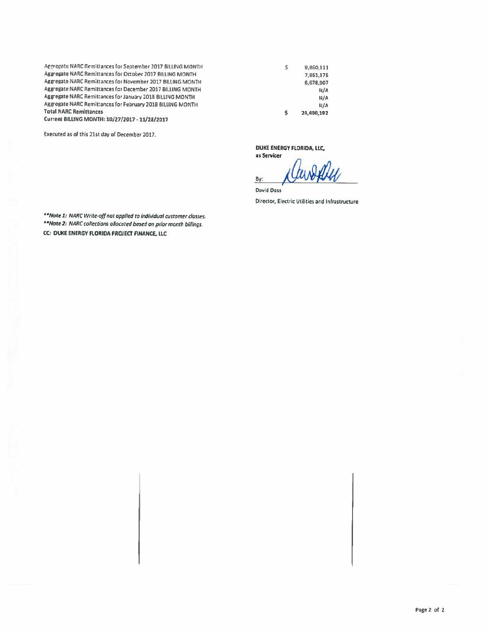Aggregate NARC Remittances for September 2017 BILLING MONTH Aggregate NARC Remittances for October 2017 BILLING MONTH Aggregate NARC Remittances for November 2017 BILLING MONTH Aggregate NARC Remittances for December 2017 BILLING MONTH Aggregate NARC Remittances for January 2018 BILLING MONTH Aggregate NARC Remittances for February 2018 BILLING MONTH **Total NARC Remittances** 

Current BILLING MONTH: 10/27/2017 - 11/28/2017

Executed as of this 21st day of December 2017.

\$ 9,860,111 7,861,175 6,678,907 N/A N/A  $N/A$ 24,400,192 \$

DUKE ENERGY FLORIDA, LLC, as Servicer

By:

**David Doss** Director, Electric Utilities and Infrastructure

\*\* Note 1: NARC Write-off not applied to individual customer classes. \*\*Note 2: NARC collections allocated based on prior month billings. CC: DUKE ENERGY FLORIDA PROJECT FINANCE, LLC